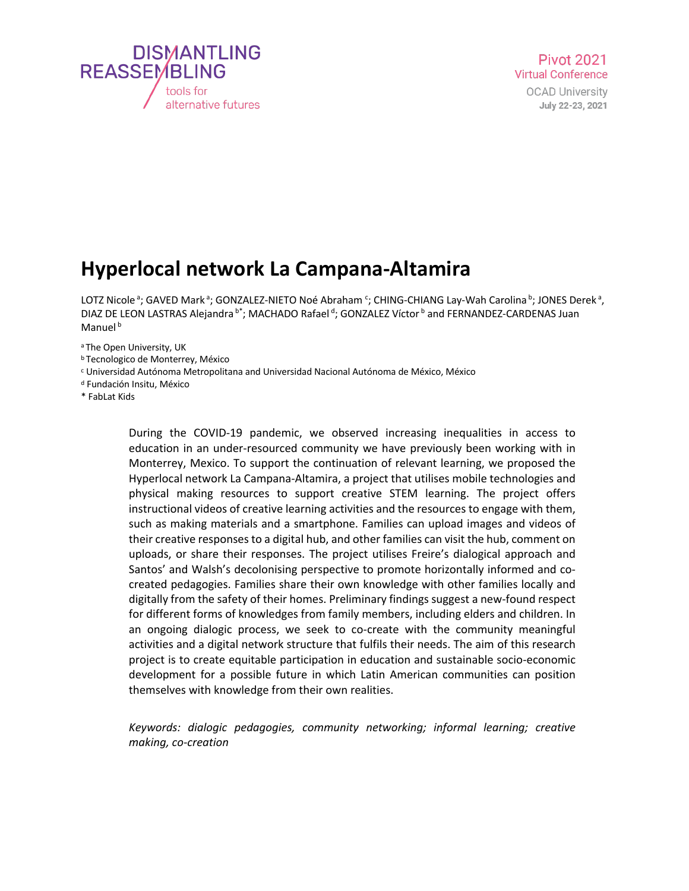

## **Hyperlocal network La Campana-Altamira**

LOTZ Nicole <sup>a</sup>; GAVED Mark <sup>a</sup>; GONZALEZ-NIETO Noé Abraham <sup>c</sup>; CHING-CHIANG Lay-Wah Carolina <sup>b</sup>; JONES Derek <sup>a</sup>, DIAZ DE LEON LASTRAS Alejandra <sup>b\*</sup>; MACHADO Rafael <sup>d</sup>; GONZALEZ Víctor <sup>b</sup> and FERNANDEZ-CARDENAS Juan Manuel<sup>b</sup>

a The Open University, UK

- 
- <sup>b</sup> Tecnologico de Monterrey, México<br><sup>c</sup> Universidad Autónoma Metropolitana and Universidad Nacional Autónoma de México, México<br><sup>d</sup> Fundación Insitu, México
- 
- \* FabLat Kids

During the COVID-19 pandemic, we observed increasing inequalities in access to education in an under-resourced community we have previously been working with in Monterrey, Mexico. To support the continuation of relevant learning, we proposed the Hyperlocal network La Campana-Altamira, a project that utilises mobile technologies and physical making resources to support creative STEM learning. The project offers instructional videos of creative learning activities and the resources to engage with them, such as making materials and a smartphone. Families can upload images and videos of their creative responses to a digital hub, and other families can visit the hub, comment on uploads, or share their responses. The project utilises Freire's dialogical approach and Santos' and Walsh's decolonising perspective to promote horizontally informed and cocreated pedagogies. Families share their own knowledge with other families locally and digitally from the safety of their homes. Preliminary findings suggest a new-found respect for different forms of knowledges from family members, including elders and children. In an ongoing dialogic process, we seek to co-create with the community meaningful activities and a digital network structure that fulfils their needs. The aim of this research project is to create equitable participation in education and sustainable socio-economic development for a possible future in which Latin American communities can position themselves with knowledge from their own realities.

*Keywords: dialogic pedagogies, community networking; informal learning; creative making, co-creation*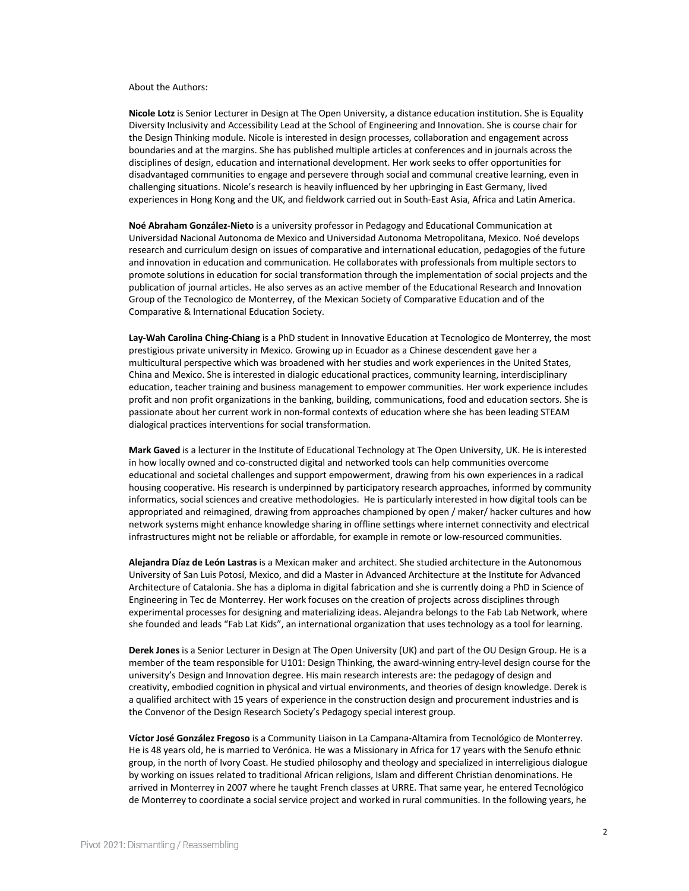## About the Authors:

**Nicole Lotz** is Senior Lecturer in Design at The Open University, a distance education institution. She is Equality Diversity Inclusivity and Accessibility Lead at the School of Engineering and Innovation. She is course chair for the Design Thinking module. Nicole is interested in design processes, collaboration and engagement across boundaries and at the margins. She has published multiple articles at conferences and in journals across the disciplines of design, education and international development. Her work seeks to offer opportunities for disadvantaged communities to engage and persevere through social and communal creative learning, even in challenging situations. Nicole's research is heavily influenced by her upbringing in East Germany, lived experiences in Hong Kong and the UK, and fieldwork carried out in South-East Asia, Africa and Latin America.

**Noé Abraham González-Nieto** is a university professor in Pedagogy and Educational Communication at Universidad Nacional Autonoma de Mexico and Universidad Autonoma Metropolitana, Mexico. Noé develops research and curriculum design on issues of comparative and international education, pedagogies of the future and innovation in education and communication. He collaborates with professionals from multiple sectors to promote solutions in education for social transformation through the implementation of social projects and the publication of journal articles. He also serves as an active member of the Educational Research and Innovation Group of the Tecnologico de Monterrey, of the Mexican Society of Comparative Education and of the Comparative & International Education Society.

**Lay-Wah Carolina Ching-Chiang** is a PhD student in Innovative Education at Tecnologico de Monterrey, the most prestigious private university in Mexico. Growing up in Ecuador as a Chinese descendent gave her a multicultural perspective which was broadened with her studies and work experiences in the United States, China and Mexico. She is interested in dialogic educational practices, community learning, interdisciplinary education, teacher training and business management to empower communities. Her work experience includes profit and non profit organizations in the banking, building, communications, food and education sectors. She is passionate about her current work in non-formal contexts of education where she has been leading STEAM dialogical practices interventions for social transformation.

**Mark Gaved** is a lecturer in the Institute of Educational Technology at The Open University, UK. He is interested in how locally owned and co-constructed digital and networked tools can help communities overcome educational and societal challenges and support empowerment, drawing from his own experiences in a radical housing cooperative. His research is underpinned by participatory research approaches, informed by community informatics, social sciences and creative methodologies. He is particularly interested in how digital tools can be appropriated and reimagined, drawing from approaches championed by open / maker/ hacker cultures and how network systems might enhance knowledge sharing in offline settings where internet connectivity and electrical infrastructures might not be reliable or affordable, for example in remote or low-resourced communities.

**Alejandra Díaz de León Lastras** is a Mexican maker and architect. She studied architecture in the Autonomous University of San Luis Potosí, Mexico, and did a Master in Advanced Architecture at the Institute for Advanced Architecture of Catalonia. She has a diploma in digital fabrication and she is currently doing a PhD in Science of Engineering in Tec de Monterrey. Her work focuses on the creation of projects across disciplines through experimental processes for designing and materializing ideas. Alejandra belongs to the Fab Lab Network, where she founded and leads "Fab Lat Kids", an international organization that uses technology as a tool for learning.

**Derek Jones** is a Senior Lecturer in Design at The Open University (UK) and part of the OU Design Group. He is a member of the team responsible for U101: Design Thinking, the award-winning entry-level design course for the university's Design and Innovation degree. His main research interests are: the pedagogy of design and creativity, embodied cognition in physical and virtual environments, and theories of design knowledge. Derek is a qualified architect with 15 years of experience in the construction design and procurement industries and is the Convenor of the Design Research Society's Pedagogy special interest group.

**Víctor José González Fregoso** is a Community Liaison in La Campana-Altamira from Tecnológico de Monterrey. He is 48 years old, he is married to Verónica. He was a Missionary in Africa for 17 years with the Senufo ethnic group, in the north of Ivory Coast. He studied philosophy and theology and specialized in interreligious dialogue by working on issues related to traditional African religions, Islam and different Christian denominations. He arrived in Monterrey in 2007 where he taught French classes at URRE. That same year, he entered Tecnológico de Monterrey to coordinate a social service project and worked in rural communities. In the following years, he